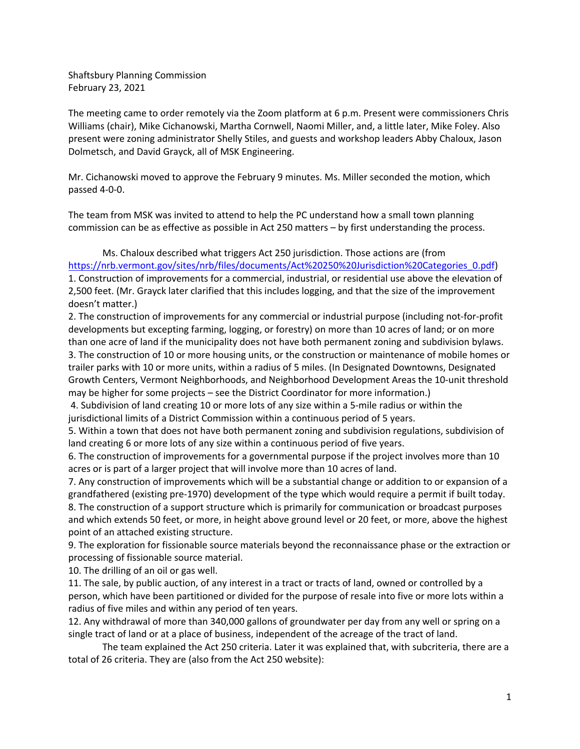Shaftsbury Planning Commission February 23, 2021

The meeting came to order remotely via the Zoom platform at 6 p.m. Present were commissioners Chris Williams (chair), Mike Cichanowski, Martha Cornwell, Naomi Miller, and, a little later, Mike Foley. Also present were zoning administrator Shelly Stiles, and guests and workshop leaders Abby Chaloux, Jason Dolmetsch, and David Grayck, all of MSK Engineering.

Mr. Cichanowski moved to approve the February 9 minutes. Ms. Miller seconded the motion, which passed 4-0-0.

The team from MSK was invited to attend to help the PC understand how a small town planning commission can be as effective as possible in Act 250 matters – by first understanding the process.

Ms. Chaloux described what triggers Act 250 jurisdiction. Those actions are (from https://nrb.vermont.gov/sites/nrb/files/documents/Act%20250%20Jurisdiction%20Categories\_0.pdf) 1. Construction of improvements for a commercial, industrial, or residential use above the elevation of 2,500 feet. (Mr. Grayck later clarified that this includes logging, and that the size of the improvement doesn't matter.)

2. The construction of improvements for any commercial or industrial purpose (including not-for-profit developments but excepting farming, logging, or forestry) on more than 10 acres of land; or on more than one acre of land if the municipality does not have both permanent zoning and subdivision bylaws. 3. The construction of 10 or more housing units, or the construction or maintenance of mobile homes or trailer parks with 10 or more units, within a radius of 5 miles. (In Designated Downtowns, Designated Growth Centers, Vermont Neighborhoods, and Neighborhood Development Areas the 10-unit threshold may be higher for some projects – see the District Coordinator for more information.)

4. Subdivision of land creating 10 or more lots of any size within a 5-mile radius or within the jurisdictional limits of a District Commission within a continuous period of 5 years.

5. Within a town that does not have both permanent zoning and subdivision regulations, subdivision of land creating 6 or more lots of any size within a continuous period of five years.

6. The construction of improvements for a governmental purpose if the project involves more than 10 acres or is part of a larger project that will involve more than 10 acres of land.

7. Any construction of improvements which will be a substantial change or addition to or expansion of a grandfathered (existing pre-1970) development of the type which would require a permit if built today. 8. The construction of a support structure which is primarily for communication or broadcast purposes and which extends 50 feet, or more, in height above ground level or 20 feet, or more, above the highest point of an attached existing structure.

9. The exploration for fissionable source materials beyond the reconnaissance phase or the extraction or processing of fissionable source material.

10. The drilling of an oil or gas well.

11. The sale, by public auction, of any interest in a tract or tracts of land, owned or controlled by a person, which have been partitioned or divided for the purpose of resale into five or more lots within a radius of five miles and within any period of ten years.

12. Any withdrawal of more than 340,000 gallons of groundwater per day from any well or spring on a single tract of land or at a place of business, independent of the acreage of the tract of land.

The team explained the Act 250 criteria. Later it was explained that, with subcriteria, there are a total of 26 criteria. They are (also from the Act 250 website):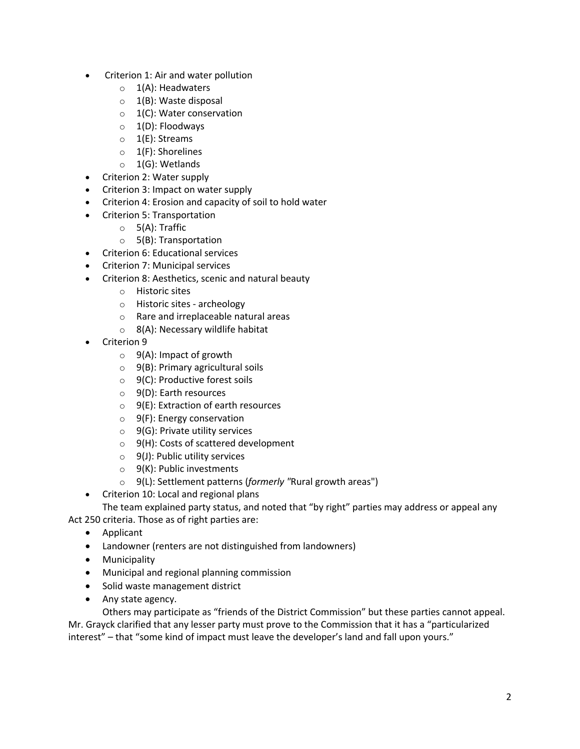- Criterion 1: Air and water pollution
	- $\circ$  1(A): Headwaters
	- $\circ$  1(B): Waste disposal
	- $\circ$  1(C): Water conservation
	- $\circ$  1(D): Floodways
	- o 1(E): Streams
	- o 1(F): Shorelines
	- o 1(G): Wetlands
- Criterion 2: Water supply
- Criterion 3: Impact on water supply
- Criterion 4: Erosion and capacity of soil to hold water
- Criterion 5: Transportation
	- $\circ$  5(A): Traffic
	- o 5(B): Transportation
- Criterion 6: Educational services
- Criterion 7: Municipal services
- Criterion 8: Aesthetics, scenic and natural beauty
	- o Historic sites
	- o Historic sites archeology
	- o Rare and irreplaceable natural areas
	- $\circ$  8(A): Necessary wildlife habitat
- Criterion 9
	- $\circ$  9(A): Impact of growth
	- $\circ$  9(B): Primary agricultural soils
	- $\circ$  9(C): Productive forest soils
	- o 9(D): Earth resources
	- $\circ$  9(E): Extraction of earth resources
	- o 9(F): Energy conservation
	- $\circ$  9(G): Private utility services
	- $\circ$  9(H): Costs of scattered development
	- $\circ$  9(J): Public utility services
	- $\circ$  9(K): Public investments
	- o 9(L): Settlement patterns (*formerly "*Rural growth areas")
- Criterion 10: Local and regional plans
	- The team explained party status, and noted that "by right" parties may address or appeal any

Act 250 criteria. Those as of right parties are:

- Applicant
- Landowner (renters are not distinguished from landowners)
- Municipality
- Municipal and regional planning commission
- Solid waste management district
- Any state agency.

Others may participate as "friends of the District Commission" but these parties cannot appeal. Mr. Grayck clarified that any lesser party must prove to the Commission that it has a "particularized interest" – that "some kind of impact must leave the developer's land and fall upon yours."